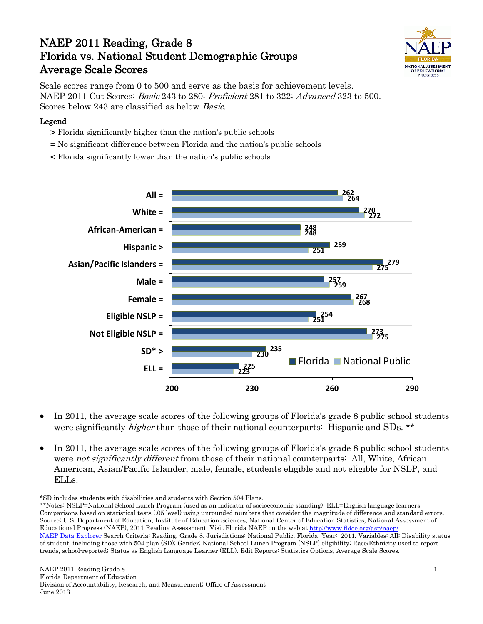# NAEP 2011 Reading, Grade 8 Florida vs. National Student Demographic Groups Average Scale Scores



Scale scores range from 0 to 500 and serve as the basis for achievement levels. NAEP 2011 Cut Scores: Basic 243 to 280; Proficient 281 to 322; Advanced 323 to 500. Scores below 243 are classified as below Basic.

### Legend

- > Florida significantly higher than the nation's public schools
- = No significant difference between Florida and the nation's public schools
- < Florida significantly lower than the nation's public schools



- In 2011, the average scale scores of the following groups of Florida's grade 8 public school students were significantly *higher* than those of their national counterparts: Hispanic and SDs. \*\*
- In 2011, the average scale scores of the following groups of Florida's grade 8 public school students were *not significantly different* from those of their national counterparts: All, White, African-American, Asian/Pacific Islander, male, female, students eligible and not eligible for NSLP, and ELLs.

<sup>\*</sup>SD includes students with disabilities and students with Section 504 Plans.

<sup>\*\*</sup>Notes: NSLP=National School Lunch Program (used as an indicator of socioeconomic standing). ELL=English language learners. Comparisons based on statistical tests (.05 level) using unrounded numbers that consider the magnitude of difference and standard errors. Source: U.S. Department of Education, Institute of Education Sciences, National Center of Education Statistics, National Assessment of Educational Progress (NAEP), 2011 Reading Assessment. Visit Florida NAEP on the web a[t http://www.fldoe.org/asp/naep/.](http://www.fldoe.org/asp/naep/) [NAEP Data Explorer](http://nces.ed.gov/nationsreportcard/naepdata/) Search Criteria: Reading, Grade 8. Jurisdictions: National Public, Florida. Year: 2011. Variables: All; Disability status of student, including those with 504 plan (SD); Gender; National School Lunch Program (NSLP) eligibility; Race/Ethnicity used to report trends, school-reported; Status as English Language Learner (ELL). Edit Reports: Statistics Options, Average Scale Scores.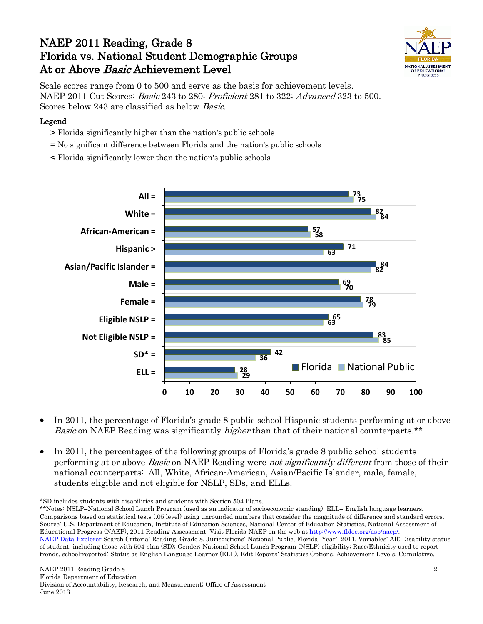## NAEP 2011 Reading, Grade 8 Florida vs. National Student Demographic Groups At or Above Basic Achievement Level



Scale scores range from 0 to 500 and serve as the basis for achievement levels. NAEP 2011 Cut Scores: Basic 243 to 280; Proficient 281 to 322; Advanced 323 to 500. Scores below 243 are classified as below Basic.

#### Legend

- > Florida significantly higher than the nation's public schools
- = No significant difference between Florida and the nation's public schools
- < Florida significantly lower than the nation's public schools



- In 2011, the percentage of Florida's grade 8 public school Hispanic students performing at or above Basic on NAEP Reading was significantly *higher* than that of their national counterparts.\*\*
- In 2011, the percentages of the following groups of Florida's grade 8 public school students performing at or above *Basic* on NAEP Reading were *not significantly different* from those of their national counterparts: All, White, African-American, Asian/Pacific Islander, male, female, students eligible and not eligible for NSLP, SDs, and ELLs.

\*SD includes students with disabilities and students with Section 504 Plans.

\*\*Notes: NSLP=National School Lunch Program (used as an indicator of socioeconomic standing). ELL= English language learners. Comparisons based on statistical tests (.05 level) using unrounded numbers that consider the magnitude of difference and standard errors. Source: U.S. Department of Education, Institute of Education Sciences, National Center of Education Statistics, National Assessment of Educational Progress (NAEP), 2011 Reading Assessment. Visit Florida NAEP on the web a[t http://www.fldoe.org/asp/naep/.](http://www.fldoe.org/asp/naep/) [NAEP Data Explorer](http://nces.ed.gov/nationsreportcard/naepdata/) Search Criteria: Reading, Grade 8. Jurisdictions: National Public, Florida. Year: 2011. Variables: All; Disability status of student, including those with 504 plan (SD); Gender; National School Lunch Program (NSLP) eligibility; Race/Ethnicity used to report trends, school-reported; Status as English Language Learner (ELL). Edit Reports: Statistics Options, Achievement Levels, Cumulative.